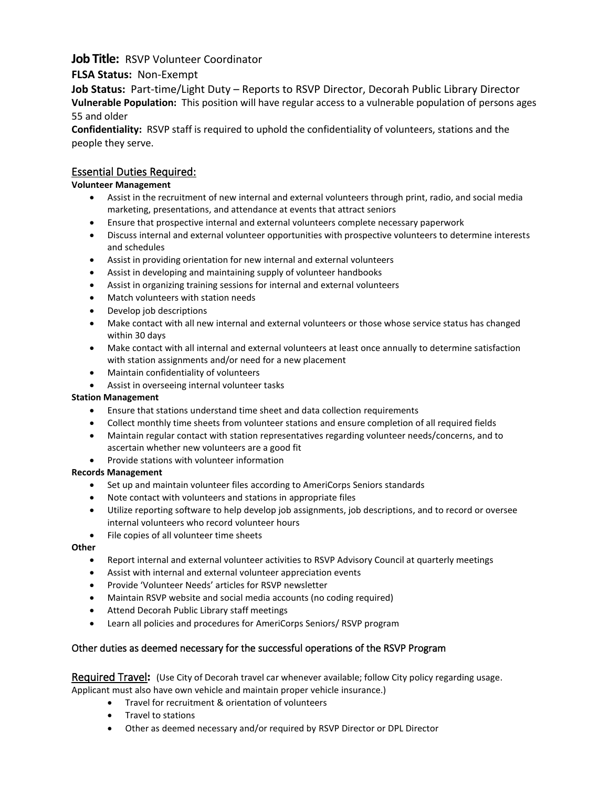# **Job Title:** RSVP Volunteer Coordinator

## **FLSA Status:** Non-Exempt

**Job Status:** Part-time/Light Duty – Reports to RSVP Director, Decorah Public Library Director **Vulnerable Population:** This position will have regular access to a vulnerable population of persons ages 55 and older

**Confidentiality:** RSVP staff is required to uphold the confidentiality of volunteers, stations and the people they serve.

## Essential Duties Required:

### **Volunteer Management**

- Assist in the recruitment of new internal and external volunteers through print, radio, and social media marketing, presentations, and attendance at events that attract seniors
- Ensure that prospective internal and external volunteers complete necessary paperwork
- Discuss internal and external volunteer opportunities with prospective volunteers to determine interests and schedules
- Assist in providing orientation for new internal and external volunteers
- Assist in developing and maintaining supply of volunteer handbooks
- Assist in organizing training sessions for internal and external volunteers
- Match volunteers with station needs
- Develop job descriptions
- Make contact with all new internal and external volunteers or those whose service status has changed within 30 days
- Make contact with all internal and external volunteers at least once annually to determine satisfaction with station assignments and/or need for a new placement
- Maintain confidentiality of volunteers
- Assist in overseeing internal volunteer tasks

#### **Station Management**

- Ensure that stations understand time sheet and data collection requirements
- Collect monthly time sheets from volunteer stations and ensure completion of all required fields
- Maintain regular contact with station representatives regarding volunteer needs/concerns, and to ascertain whether new volunteers are a good fit
- Provide stations with volunteer information

#### **Records Management**

- Set up and maintain volunteer files according to AmeriCorps Seniors standards
- Note contact with volunteers and stations in appropriate files
- Utilize reporting software to help develop job assignments, job descriptions, and to record or oversee internal volunteers who record volunteer hours
- File copies of all volunteer time sheets

#### **Other**

- Report internal and external volunteer activities to RSVP Advisory Council at quarterly meetings
- Assist with internal and external volunteer appreciation events
- Provide 'Volunteer Needs' articles for RSVP newsletter
- Maintain RSVP website and social media accounts (no coding required)
- Attend Decorah Public Library staff meetings
- Learn all policies and procedures for AmeriCorps Seniors/ RSVP program

## Other duties as deemed necessary for the successful operations of the RSVP Program

Required Travel**:** (Use City of Decorah travel car whenever available; follow City policy regarding usage.

Applicant must also have own vehicle and maintain proper vehicle insurance.)

- Travel for recruitment & orientation of volunteers
- Travel to stations
- Other as deemed necessary and/or required by RSVP Director or DPL Director